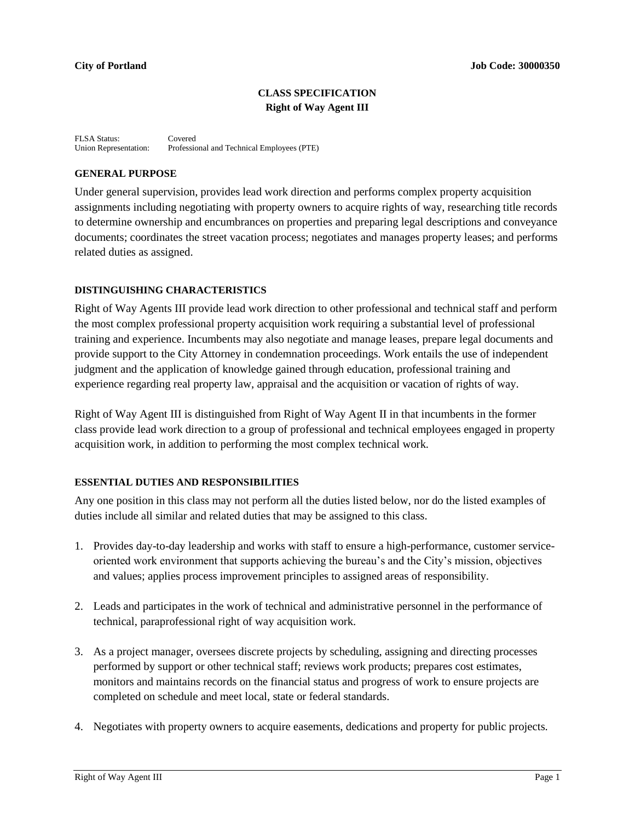# **CLASS SPECIFICATION Right of Way Agent III**

FLSA Status: Covered<br>Union Representation: Professie Professional and Technical Employees (PTE)

## **GENERAL PURPOSE**

Under general supervision, provides lead work direction and performs complex property acquisition assignments including negotiating with property owners to acquire rights of way, researching title records to determine ownership and encumbrances on properties and preparing legal descriptions and conveyance documents; coordinates the street vacation process; negotiates and manages property leases; and performs related duties as assigned.

## **DISTINGUISHING CHARACTERISTICS**

Right of Way Agents III provide lead work direction to other professional and technical staff and perform the most complex professional property acquisition work requiring a substantial level of professional training and experience. Incumbents may also negotiate and manage leases, prepare legal documents and provide support to the City Attorney in condemnation proceedings. Work entails the use of independent judgment and the application of knowledge gained through education, professional training and experience regarding real property law, appraisal and the acquisition or vacation of rights of way.

Right of Way Agent III is distinguished from Right of Way Agent II in that incumbents in the former class provide lead work direction to a group of professional and technical employees engaged in property acquisition work, in addition to performing the most complex technical work.

## **ESSENTIAL DUTIES AND RESPONSIBILITIES**

Any one position in this class may not perform all the duties listed below, nor do the listed examples of duties include all similar and related duties that may be assigned to this class.

- 1. Provides day-to-day leadership and works with staff to ensure a high-performance, customer serviceoriented work environment that supports achieving the bureau's and the City's mission, objectives and values; applies process improvement principles to assigned areas of responsibility.
- 2. Leads and participates in the work of technical and administrative personnel in the performance of technical, paraprofessional right of way acquisition work.
- 3. As a project manager, oversees discrete projects by scheduling, assigning and directing processes performed by support or other technical staff; reviews work products; prepares cost estimates, monitors and maintains records on the financial status and progress of work to ensure projects are completed on schedule and meet local, state or federal standards.
- 4. Negotiates with property owners to acquire easements, dedications and property for public projects.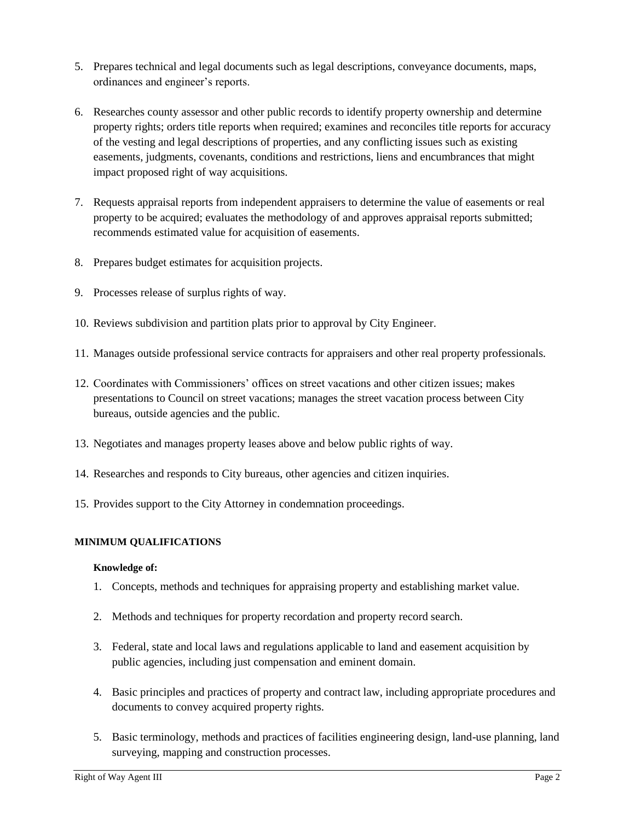- 5. Prepares technical and legal documents such as legal descriptions, conveyance documents, maps, ordinances and engineer's reports.
- 6. Researches county assessor and other public records to identify property ownership and determine property rights; orders title reports when required; examines and reconciles title reports for accuracy of the vesting and legal descriptions of properties, and any conflicting issues such as existing easements, judgments, covenants, conditions and restrictions, liens and encumbrances that might impact proposed right of way acquisitions.
- 7. Requests appraisal reports from independent appraisers to determine the value of easements or real property to be acquired; evaluates the methodology of and approves appraisal reports submitted; recommends estimated value for acquisition of easements.
- 8. Prepares budget estimates for acquisition projects.
- 9. Processes release of surplus rights of way.
- 10. Reviews subdivision and partition plats prior to approval by City Engineer.
- 11. Manages outside professional service contracts for appraisers and other real property professionals.
- 12. Coordinates with Commissioners' offices on street vacations and other citizen issues; makes presentations to Council on street vacations; manages the street vacation process between City bureaus, outside agencies and the public.
- 13. Negotiates and manages property leases above and below public rights of way.
- 14. Researches and responds to City bureaus, other agencies and citizen inquiries.
- 15. Provides support to the City Attorney in condemnation proceedings.

## **MINIMUM QUALIFICATIONS**

## **Knowledge of:**

- 1. Concepts, methods and techniques for appraising property and establishing market value.
- 2. Methods and techniques for property recordation and property record search.
- 3. Federal, state and local laws and regulations applicable to land and easement acquisition by public agencies, including just compensation and eminent domain.
- 4. Basic principles and practices of property and contract law, including appropriate procedures and documents to convey acquired property rights.
- 5. Basic terminology, methods and practices of facilities engineering design, land-use planning, land surveying, mapping and construction processes.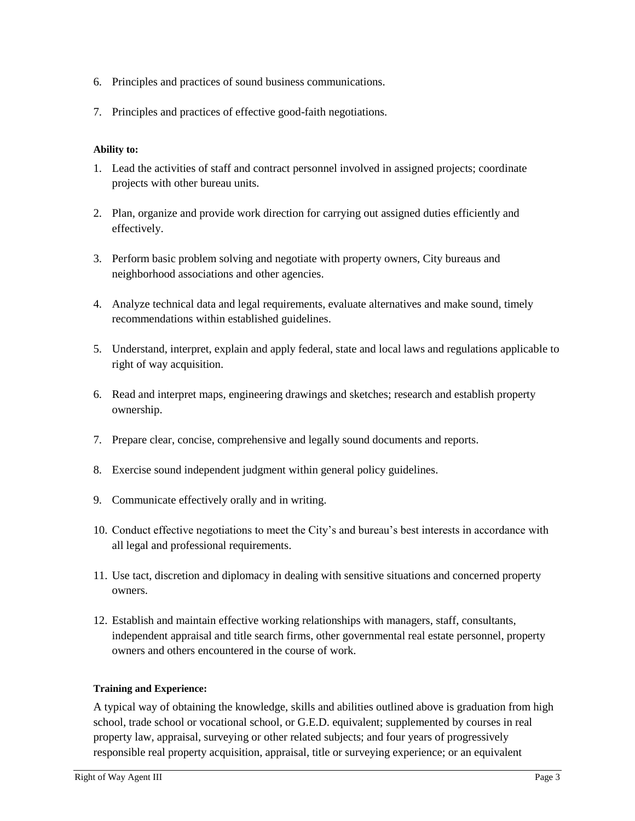- 6. Principles and practices of sound business communications.
- 7. Principles and practices of effective good-faith negotiations.

## **Ability to:**

- 1. Lead the activities of staff and contract personnel involved in assigned projects; coordinate projects with other bureau units.
- 2. Plan, organize and provide work direction for carrying out assigned duties efficiently and effectively.
- 3. Perform basic problem solving and negotiate with property owners, City bureaus and neighborhood associations and other agencies.
- 4. Analyze technical data and legal requirements, evaluate alternatives and make sound, timely recommendations within established guidelines.
- 5. Understand, interpret, explain and apply federal, state and local laws and regulations applicable to right of way acquisition.
- 6. Read and interpret maps, engineering drawings and sketches; research and establish property ownership.
- 7. Prepare clear, concise, comprehensive and legally sound documents and reports.
- 8. Exercise sound independent judgment within general policy guidelines.
- 9. Communicate effectively orally and in writing.
- 10. Conduct effective negotiations to meet the City's and bureau's best interests in accordance with all legal and professional requirements.
- 11. Use tact, discretion and diplomacy in dealing with sensitive situations and concerned property owners.
- 12. Establish and maintain effective working relationships with managers, staff, consultants, independent appraisal and title search firms, other governmental real estate personnel, property owners and others encountered in the course of work.

## **Training and Experience:**

A typical way of obtaining the knowledge, skills and abilities outlined above is graduation from high school, trade school or vocational school, or G.E.D. equivalent; supplemented by courses in real property law, appraisal, surveying or other related subjects; and four years of progressively responsible real property acquisition, appraisal, title or surveying experience; or an equivalent